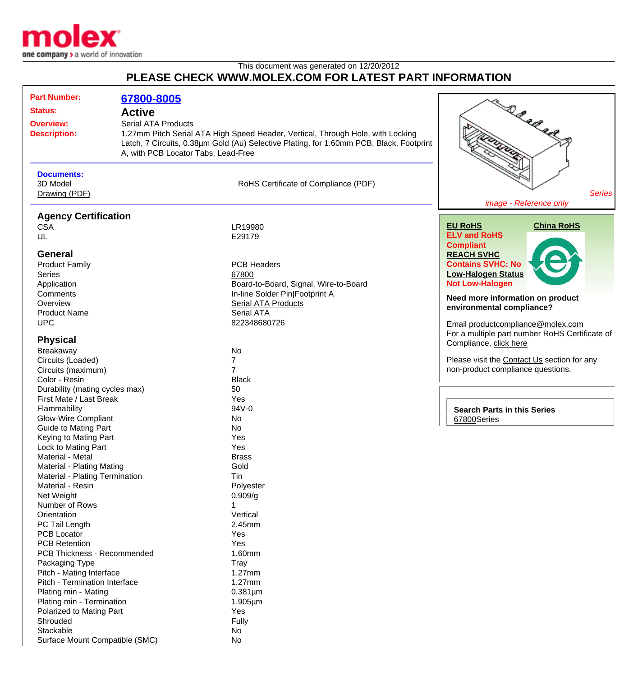

## This document was generated on 12/20/2012 **PLEASE CHECK WWW.MOLEX.COM FOR LATEST PART INFORMATION**

| <b>Part Number:</b>                |                                  |                                             |                                                                                         |                                                |
|------------------------------------|----------------------------------|---------------------------------------------|-----------------------------------------------------------------------------------------|------------------------------------------------|
|                                    |                                  | 67800-8005                                  |                                                                                         |                                                |
| <b>Status:</b><br><b>Overview:</b> |                                  | <b>Active</b><br><b>Serial ATA Products</b> |                                                                                         | DR R R R R P                                   |
|                                    |                                  |                                             |                                                                                         |                                                |
|                                    |                                  |                                             |                                                                                         |                                                |
|                                    | <b>Description:</b>              |                                             | 1.27mm Pitch Serial ATA High Speed Header, Vertical, Through Hole, with Locking         |                                                |
|                                    |                                  |                                             | Latch, 7 Circuits, 0.38um Gold (Au) Selective Plating, for 1.60mm PCB, Black, Footprint |                                                |
|                                    |                                  | A, with PCB Locator Tabs, Lead-Free         |                                                                                         |                                                |
|                                    |                                  |                                             |                                                                                         |                                                |
|                                    | <b>Documents:</b>                |                                             |                                                                                         |                                                |
|                                    | 3D Model                         |                                             | RoHS Certificate of Compliance (PDF)                                                    |                                                |
|                                    | Drawing (PDF)                    |                                             |                                                                                         | <b>Series</b>                                  |
|                                    |                                  |                                             |                                                                                         | image - Reference only                         |
|                                    | <b>Agency Certification</b>      |                                             |                                                                                         |                                                |
|                                    | <b>CSA</b>                       |                                             | LR19980                                                                                 | <b>EU RoHS</b><br><b>China RoHS</b>            |
|                                    | UL                               |                                             | E29179                                                                                  | <b>ELV and RoHS</b>                            |
|                                    |                                  |                                             |                                                                                         | <b>Compliant</b>                               |
|                                    | <b>General</b>                   |                                             |                                                                                         | <b>REACH SVHC</b>                              |
|                                    | <b>Product Family</b>            |                                             | <b>PCB Headers</b>                                                                      | <b>Contains SVHC: No</b>                       |
|                                    | <b>Series</b>                    |                                             | 67800                                                                                   | <b>Low-Halogen Status</b>                      |
|                                    | Application                      |                                             | Board-to-Board, Signal, Wire-to-Board                                                   | <b>Not Low-Halogen</b>                         |
|                                    | Comments                         |                                             | In-line Solder Pin Footprint A                                                          |                                                |
|                                    | Overview                         |                                             | <b>Serial ATA Products</b>                                                              | Need more information on product               |
|                                    |                                  |                                             |                                                                                         | environmental compliance?                      |
|                                    | <b>Product Name</b>              |                                             | <b>Serial ATA</b>                                                                       |                                                |
|                                    | <b>UPC</b>                       |                                             | 822348680726                                                                            | Email productcompliance@molex.com              |
|                                    |                                  |                                             |                                                                                         | For a multiple part number RoHS Certificate of |
|                                    | <b>Physical</b>                  |                                             |                                                                                         | Compliance, click here                         |
|                                    | Breakaway                        |                                             | <b>No</b>                                                                               |                                                |
|                                    | Circuits (Loaded)                |                                             | 7                                                                                       | Please visit the Contact Us section for any    |
|                                    | Circuits (maximum)               |                                             | 7                                                                                       | non-product compliance questions.              |
|                                    | Color - Resin                    |                                             | <b>Black</b>                                                                            |                                                |
|                                    | Durability (mating cycles max)   |                                             | 50                                                                                      |                                                |
|                                    | First Mate / Last Break          |                                             | Yes                                                                                     |                                                |
|                                    | Flammability                     |                                             | 94V-0                                                                                   | <b>Search Parts in this Series</b>             |
|                                    | <b>Glow-Wire Compliant</b>       |                                             | No                                                                                      | 67800Series                                    |
|                                    | <b>Guide to Mating Part</b>      |                                             | <b>No</b>                                                                               |                                                |
|                                    | Keying to Mating Part            |                                             | Yes                                                                                     |                                                |
|                                    | Lock to Mating Part              |                                             | Yes                                                                                     |                                                |
|                                    | Material - Metal                 |                                             | <b>Brass</b>                                                                            |                                                |
|                                    | <b>Material - Plating Mating</b> |                                             | Gold                                                                                    |                                                |
|                                    | Material - Plating Termination   |                                             | Tin                                                                                     |                                                |
|                                    | Material - Resin                 |                                             | Polyester                                                                               |                                                |
|                                    | Net Weight                       |                                             | 0.909/g                                                                                 |                                                |
|                                    | Number of Rows                   |                                             |                                                                                         |                                                |
|                                    | Orientation                      |                                             | Vertical                                                                                |                                                |
|                                    | PC Tail Length                   |                                             | 2.45mm                                                                                  |                                                |
|                                    | <b>PCB Locator</b>               |                                             |                                                                                         |                                                |
|                                    |                                  |                                             | Yes                                                                                     |                                                |
|                                    | <b>PCB Retention</b>             |                                             | Yes                                                                                     |                                                |
|                                    | PCB Thickness - Recommended      |                                             | 1.60mm                                                                                  |                                                |
|                                    | Packaging Type                   |                                             | Tray                                                                                    |                                                |
|                                    | Pitch - Mating Interface         |                                             | $1.27$ mm                                                                               |                                                |
|                                    | Pitch - Termination Interface    |                                             | 1.27mm                                                                                  |                                                |
|                                    | Plating min - Mating             |                                             | $0.381 \mu m$                                                                           |                                                |
|                                    | Plating min - Termination        |                                             | $1.905 \mu m$                                                                           |                                                |
|                                    | Polarized to Mating Part         |                                             | Yes                                                                                     |                                                |
|                                    | Shrouded                         |                                             | Fully                                                                                   |                                                |
|                                    | Stackable                        |                                             | No                                                                                      |                                                |
|                                    | Surface Mount Compatible (SMC)   |                                             | No                                                                                      |                                                |
|                                    |                                  |                                             |                                                                                         |                                                |